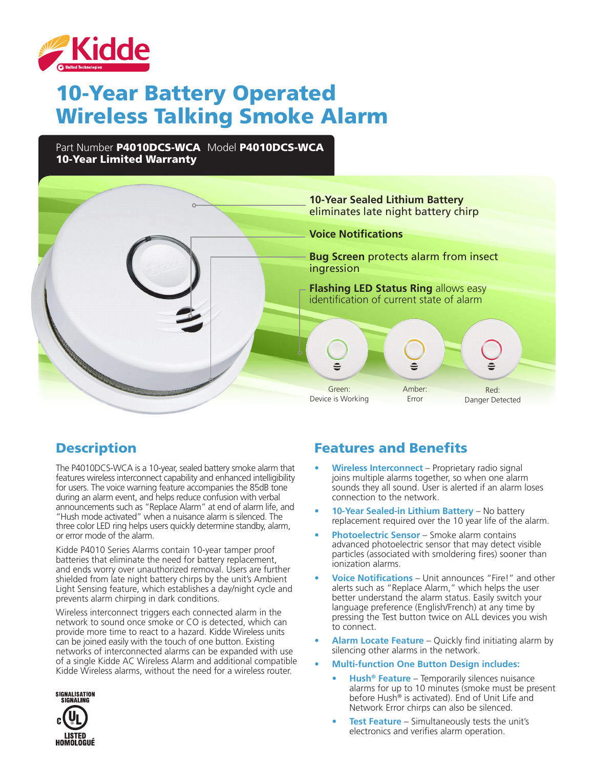

# 10-Year Battery Operated Wireless Talking Smoke Alarm

Part Number P4010DCS-WCA Model P4010DCS-WCA 10-Year Limited Warranty



## **Description**

The P4010DCS-WCA is a 10-year, sealed battery smoke alarm that features wireless interconnect capability and enhanced intelligibility for users. The voice warning feature accompanies the 85dB tone during an alarm event, and helps reduce confusion with verbal announcements such as "Replace Alarm" at end of alarm life, and "Hush mode activated" when a nuisance alarm is silenced. The three color LED ring helps users quickly determine standby, alarm, or error mode of the alarm.

Kidde P4010 Series Alarms contain 10-year tamper proof batteries that eliminate the need for battery replacement, and ends worry over unauthorized removal. Users are further shielded from late night battery chirps by the unit's Ambient Light Sensing feature, which establishes a day/night cycle and prevents alarm chirping in dark conditions.

Wireless interconnect triggers each connected alarm in the network to sound once smoke or CO is detected, which can provide more time to react to a hazard. Kidde Wireless units can be joined easily with the touch of one button. Existing networks of interconnected alarms can be expanded with use of a single Kidde AC Wireless Alarm and additional compatible Kidde Wireless alarms, without the need for a wireless router.



### Features and Benefits

- **• Wireless Interconnect** Proprietary radio signal joins multiple alarms together, so when one alarm sounds they all sound. User is alerted if an alarm loses connection to the network.
- **• 10-Year Sealed-in Lithium Battery** No battery replacement required over the 10 year life of the alarm.
- **• Photoelectric Sensor** Smoke alarm contains advanced photoelectric sensor that may detect visible particles (associated with smoldering fires) sooner than ionization alarms.
- **• Voice Notifications** Unit announces "Fire!" and other alerts such as "Replace Alarm," which helps the user better understand the alarm status. Easily switch your language preference (English/French) at any time by pressing the Test button twice on ALL devices you wish to connect.
- **• Alarm Locate Feature** Quickly find initiating alarm by silencing other alarms in the network.
- **• Multi-function One Button Design includes:**
	- **• Hush® Feature** Temporarily silences nuisance alarms for up to 10 minutes (smoke must be present before Hush® is activated). End of Unit Life and Network Error chirps can also be silenced.
	- **Fest Feature** Simultaneously tests the unit's electronics and verifies alarm operation.